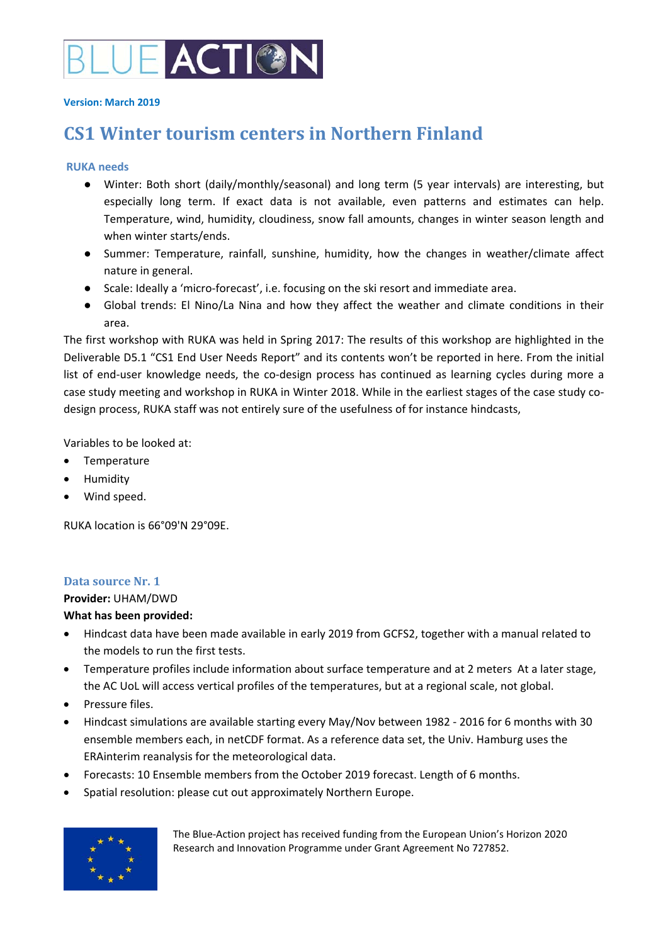

#### **Version: March 2019**

# **CS1 Winter tourism centers in Northern Finland**

### **RUKA needs**

- Winter: Both short (daily/monthly/seasonal) and long term (5 year intervals) are interesting, but especially long term. If exact data is not available, even patterns and estimates can help. Temperature, wind, humidity, cloudiness, snow fall amounts, changes in winter season length and when winter starts/ends.
- Summer: Temperature, rainfall, sunshine, humidity, how the changes in weather/climate affect nature in general.
- Scale: Ideally a 'micro-forecast', i.e. focusing on the ski resort and immediate area.
- Global trends: El Nino/La Nina and how they affect the weather and climate conditions in their area.

The first workshop with RUKA was held in Spring 2017: The results of this workshop are highlighted in the Deliverable D5.1 "CS1 End User Needs Report" and its contents won't be reported in here. From the initial list of end-user knowledge needs, the co-design process has continued as learning cycles during more a case study meeting and workshop in RUKA in Winter 2018. While in the earliest stages of the case study codesign process, RUKA staff was not entirely sure of the usefulness of for instance hindcasts,

Variables to be looked at:

- Temperature
- Humidity
- Wind speed.

RUKA location is 66°09'N 29°09E.

# **Data source Nr. 1**

**Provider:** UHAM/DWD

### **What has been provided:**

- Hindcast data have been made available in early 2019 from GCFS2, together with a manual related to the models to run the first tests.
- Temperature profiles include information about surface temperature and at 2 meters At a later stage, the AC UoL will access vertical profiles of the temperatures, but at a regional scale, not global.
- Pressure files.
- Hindcast simulations are available starting every May/Nov between 1982 ‐ 2016 for 6 months with 30 ensemble members each, in netCDF format. As a reference data set, the Univ. Hamburg uses the ERAinterim reanalysis for the meteorological data.
- Forecasts: 10 Ensemble members from the October 2019 forecast. Length of 6 months.
- Spatial resolution: please cut out approximately Northern Europe.



The Blue‐Action project has received funding from the European Union's Horizon 2020 Research and Innovation Programme under Grant Agreement No 727852.